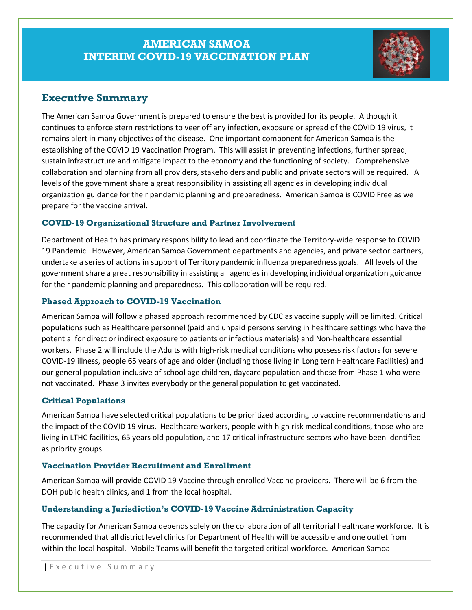## **AMERICAN SAMOA INTERIM COVID-19 VACCINATION PLAN**



### **Executive Summary**

The American Samoa Government is prepared to ensure the best is provided for its people. Although it continues to enforce stern restrictions to veer off any infection, exposure or spread of the COVID 19 virus, it remains alert in many objectives of the disease. One important component for American Samoa is the establishing of the COVID 19 Vaccination Program. This will assist in preventing infections, further spread, sustain infrastructure and mitigate impact to the economy and the functioning of society. Comprehensive collaboration and planning from all providers, stakeholders and public and private sectors will be required. All levels of the government share a great responsibility in assisting all agencies in developing individual organization guidance for their pandemic planning and preparedness. American Samoa is COVID Free as we prepare for the vaccine arrival.

#### **COVID-19 Organizational Structure and Partner Involvement**

Department of Health has primary responsibility to lead and coordinate the Territory-wide response to COVID 19 Pandemic. However, American Samoa Government departments and agencies, and private sector partners, undertake a series of actions in support of Territory pandemic influenza preparedness goals. All levels of the government share a great responsibility in assisting all agencies in developing individual organization guidance for their pandemic planning and preparedness. This collaboration will be required.

#### **Phased Approach to COVID-19 Vaccination**

American Samoa will follow a phased approach recommended by CDC as vaccine supply will be limited. Critical populations such as Healthcare personnel (paid and unpaid persons serving in healthcare settings who have the potential for direct or indirect exposure to patients or infectious materials) and Non-healthcare essential workers. Phase 2 will include the Adults with high-risk medical conditions who possess risk factors for severe COVID-19 illness, people 65 years of age and older (including those living in Long tern Healthcare Facilities) and our general population inclusive of school age children, daycare population and those from Phase 1 who were not vaccinated. Phase 3 invites everybody or the general population to get vaccinated.

### **Critical Populations**

American Samoa have selected critical populations to be prioritized according to vaccine recommendations and the impact of the COVID 19 virus. Healthcare workers, people with high risk medical conditions, those who are living in LTHC facilities, 65 years old population, and 17 critical infrastructure sectors who have been identified as priority groups.

#### **Vaccination Provider Recruitment and Enrollment**

American Samoa will provide COVID 19 Vaccine through enrolled Vaccine providers. There will be 6 from the DOH public health clinics, and 1 from the local hospital.

#### **Understanding a Jurisdiction's COVID-19 Vaccine Administration Capacity**

The capacity for American Samoa depends solely on the collaboration of all territorial healthcare workforce. It is recommended that all district level clinics for Department of Health will be accessible and one outlet from within the local hospital. Mobile Teams will benefit the targeted critical workforce. American Samoa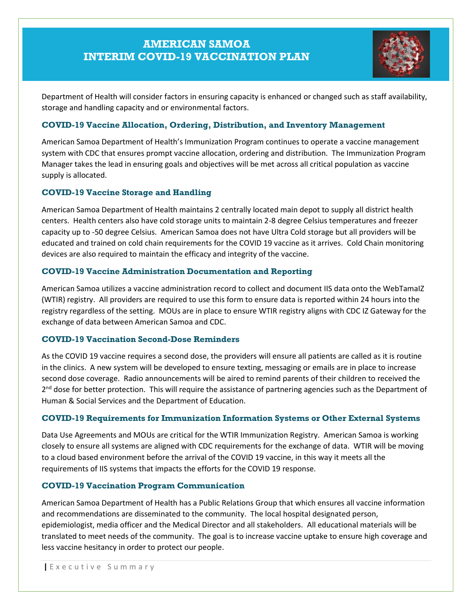# **AMERICAN SAMOA INTERIM COVID-19 VACCINATION PLAN**



Department of Health will consider factors in ensuring capacity is enhanced or changed such as staff availability, storage and handling capacity and or environmental factors.

#### **COVID-19 Vaccine Allocation, Ordering, Distribution, and Inventory Management**

American Samoa Department of Health's Immunization Program continues to operate a vaccine management system with CDC that ensures prompt vaccine allocation, ordering and distribution. The Immunization Program Manager takes the lead in ensuring goals and objectives will be met across all critical population as vaccine supply is allocated.

#### **COVID-19 Vaccine Storage and Handling**

American Samoa Department of Health maintains 2 centrally located main depot to supply all district health centers. Health centers also have cold storage units to maintain 2-8 degree Celsius temperatures and freezer capacity up to -50 degree Celsius. American Samoa does not have Ultra Cold storage but all providers will be educated and trained on cold chain requirements for the COVID 19 vaccine as it arrives. Cold Chain monitoring devices are also required to maintain the efficacy and integrity of the vaccine.

#### **COVID-19 Vaccine Administration Documentation and Reporting**

American Samoa utilizes a vaccine administration record to collect and document IIS data onto the WebTamaIZ (WTIR) registry. All providers are required to use this form to ensure data is reported within 24 hours into the registry regardless of the setting. MOUs are in place to ensure WTIR registry aligns with CDC IZ Gateway for the exchange of data between American Samoa and CDC.

#### **COVID-19 Vaccination Second-Dose Reminders**

As the COVID 19 vaccine requires a second dose, the providers will ensure all patients are called as it is routine in the clinics. A new system will be developed to ensure texting, messaging or emails are in place to increase second dose coverage. Radio announcements will be aired to remind parents of their children to received the 2<sup>nd</sup> dose for better protection. This will require the assistance of partnering agencies such as the Department of Human & Social Services and the Department of Education.

#### **COVID-19 Requirements for Immunization Information Systems or Other External Systems**

Data Use Agreements and MOUs are critical for the WTIR Immunization Registry. American Samoa is working closely to ensure all systems are aligned with CDC requirements for the exchange of data. WTIR will be moving to a cloud based environment before the arrival of the COVID 19 vaccine, in this way it meets all the requirements of IIS systems that impacts the efforts for the COVID 19 response.

#### **COVID-19 Vaccination Program Communication**

American Samoa Department of Health has a Public Relations Group that which ensures all vaccine information and recommendations are disseminated to the community. The local hospital designated person, epidemiologist, media officer and the Medical Director and all stakeholders. All educational materials will be translated to meet needs of the community. The goal is to increase vaccine uptake to ensure high coverage and less vaccine hesitancy in order to protect our people.